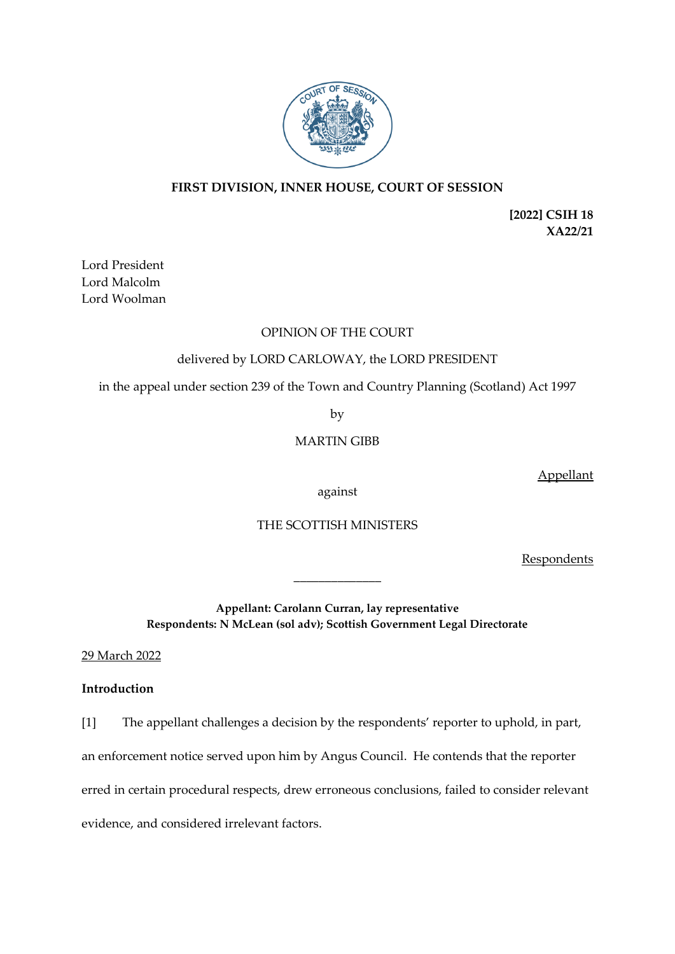

## **FIRST DIVISION, INNER HOUSE, COURT OF SESSION**

**[2022] CSIH 18 XA22/21**

Lord President Lord Malcolm Lord Woolman

## OPINION OF THE COURT

## delivered by LORD CARLOWAY, the LORD PRESIDENT

in the appeal under section 239 of the Town and Country Planning (Scotland) Act 1997

by

# MARTIN GIBB

Appellant

against

## THE SCOTTISH MINISTERS

Respondents

**Appellant: Carolann Curran, lay representative Respondents: N McLean (sol adv); Scottish Government Legal Directorate**

\_\_\_\_\_\_\_\_\_\_\_\_\_\_

29 March 2022

## **Introduction**

[1] The appellant challenges a decision by the respondents' reporter to uphold, in part,

an enforcement notice served upon him by Angus Council. He contends that the reporter

erred in certain procedural respects, drew erroneous conclusions, failed to consider relevant

evidence, and considered irrelevant factors.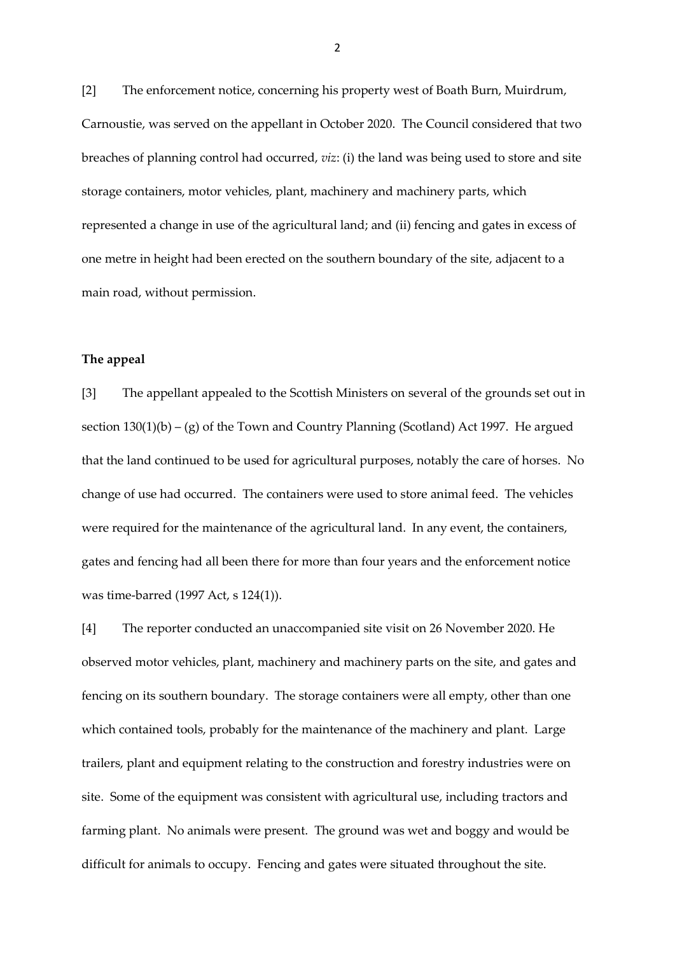[2] The enforcement notice, concerning his property west of Boath Burn, Muirdrum, Carnoustie, was served on the appellant in October 2020. The Council considered that two breaches of planning control had occurred, *viz*: (i) the land was being used to store and site storage containers, motor vehicles, plant, machinery and machinery parts, which represented a change in use of the agricultural land; and (ii) fencing and gates in excess of one metre in height had been erected on the southern boundary of the site, adjacent to a main road, without permission.

#### **The appeal**

[3] The appellant appealed to the Scottish Ministers on several of the grounds set out in section  $130(1)(b) - (g)$  of the Town and Country Planning (Scotland) Act 1997. He argued that the land continued to be used for agricultural purposes, notably the care of horses. No change of use had occurred. The containers were used to store animal feed. The vehicles were required for the maintenance of the agricultural land. In any event, the containers, gates and fencing had all been there for more than four years and the enforcement notice was time-barred (1997 Act, s 124(1)).

[4] The reporter conducted an unaccompanied site visit on 26 November 2020. He observed motor vehicles, plant, machinery and machinery parts on the site, and gates and fencing on its southern boundary. The storage containers were all empty, other than one which contained tools, probably for the maintenance of the machinery and plant. Large trailers, plant and equipment relating to the construction and forestry industries were on site. Some of the equipment was consistent with agricultural use, including tractors and farming plant. No animals were present. The ground was wet and boggy and would be difficult for animals to occupy. Fencing and gates were situated throughout the site.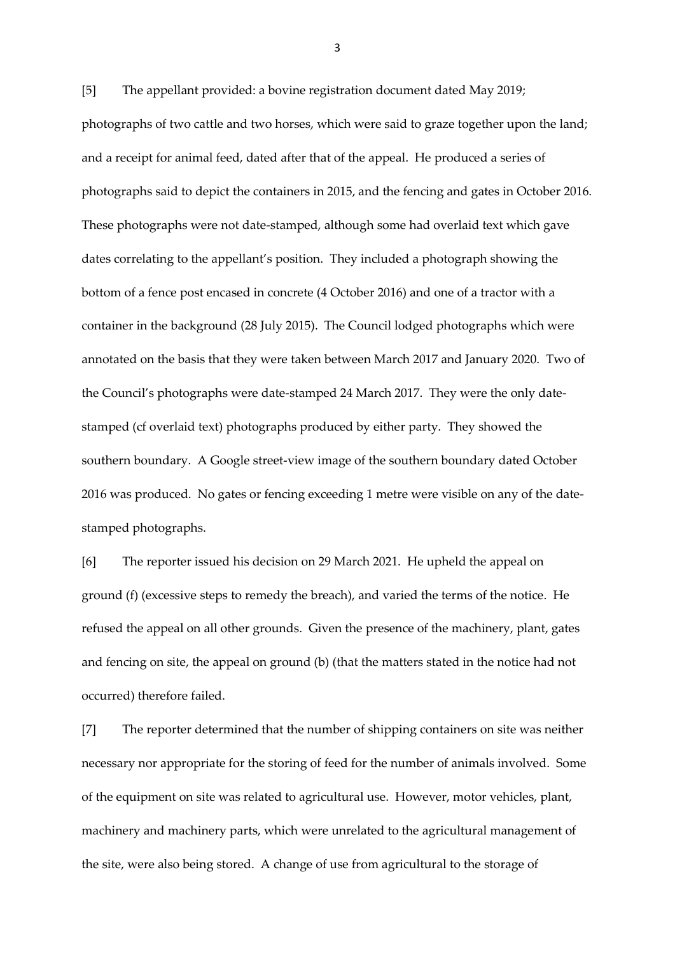[5] The appellant provided: a bovine registration document dated May 2019; photographs of two cattle and two horses, which were said to graze together upon the land; and a receipt for animal feed, dated after that of the appeal. He produced a series of photographs said to depict the containers in 2015, and the fencing and gates in October 2016. These photographs were not date-stamped, although some had overlaid text which gave dates correlating to the appellant's position. They included a photograph showing the bottom of a fence post encased in concrete (4 October 2016) and one of a tractor with a container in the background (28 July 2015). The Council lodged photographs which were annotated on the basis that they were taken between March 2017 and January 2020. Two of the Council's photographs were date-stamped 24 March 2017. They were the only datestamped (cf overlaid text) photographs produced by either party. They showed the southern boundary. A Google street-view image of the southern boundary dated October 2016 was produced. No gates or fencing exceeding 1 metre were visible on any of the datestamped photographs.

[6] The reporter issued his decision on 29 March 2021. He upheld the appeal on ground (f) (excessive steps to remedy the breach), and varied the terms of the notice. He refused the appeal on all other grounds. Given the presence of the machinery, plant, gates and fencing on site, the appeal on ground (b) (that the matters stated in the notice had not occurred) therefore failed.

[7] The reporter determined that the number of shipping containers on site was neither necessary nor appropriate for the storing of feed for the number of animals involved. Some of the equipment on site was related to agricultural use. However, motor vehicles, plant, machinery and machinery parts, which were unrelated to the agricultural management of the site, were also being stored. A change of use from agricultural to the storage of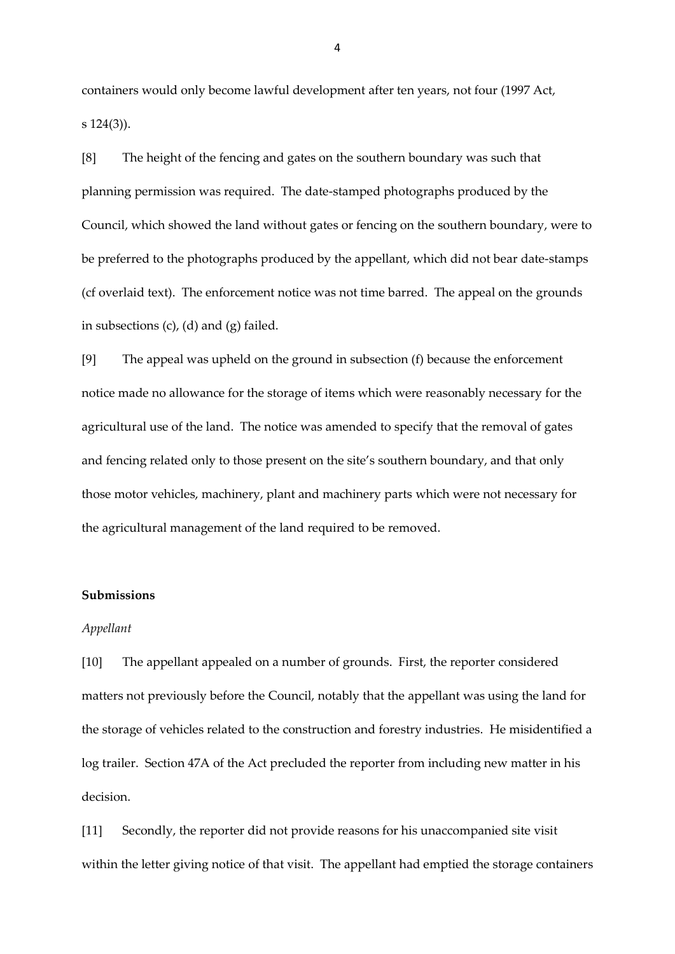containers would only become lawful development after ten years, not four (1997 Act, s 124(3)).

[8] The height of the fencing and gates on the southern boundary was such that planning permission was required. The date-stamped photographs produced by the Council, which showed the land without gates or fencing on the southern boundary, were to be preferred to the photographs produced by the appellant, which did not bear date-stamps (cf overlaid text). The enforcement notice was not time barred. The appeal on the grounds in subsections (c), (d) and (g) failed.

[9] The appeal was upheld on the ground in subsection (f) because the enforcement notice made no allowance for the storage of items which were reasonably necessary for the agricultural use of the land. The notice was amended to specify that the removal of gates and fencing related only to those present on the site's southern boundary, and that only those motor vehicles, machinery, plant and machinery parts which were not necessary for the agricultural management of the land required to be removed.

### **Submissions**

#### *Appellant*

[10] The appellant appealed on a number of grounds. First, the reporter considered matters not previously before the Council, notably that the appellant was using the land for the storage of vehicles related to the construction and forestry industries. He misidentified a log trailer. Section 47A of the Act precluded the reporter from including new matter in his decision.

[11] Secondly, the reporter did not provide reasons for his unaccompanied site visit within the letter giving notice of that visit. The appellant had emptied the storage containers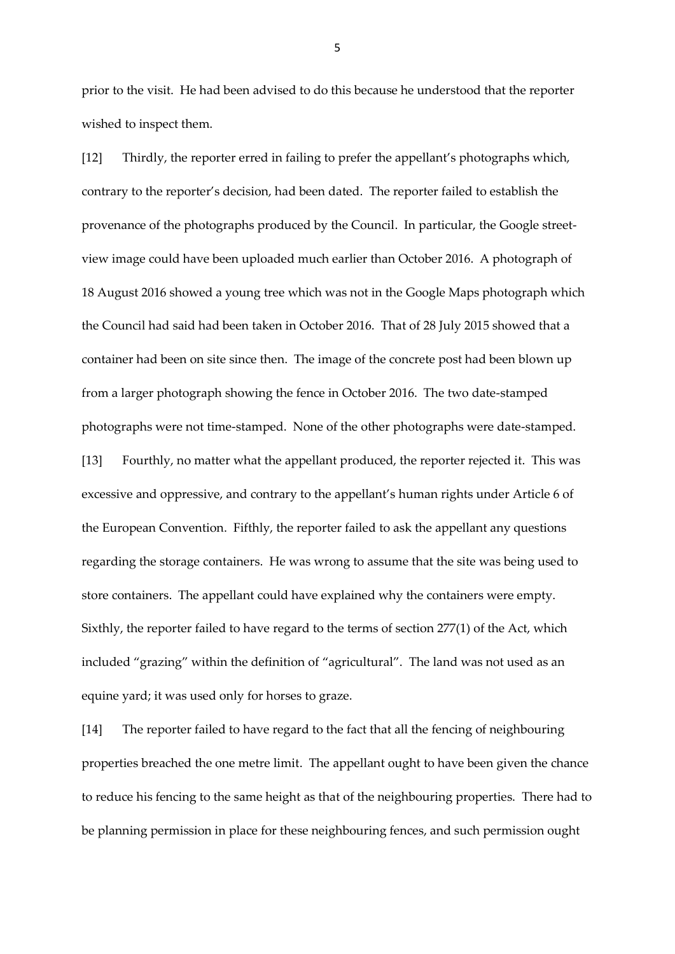prior to the visit. He had been advised to do this because he understood that the reporter wished to inspect them.

[12] Thirdly, the reporter erred in failing to prefer the appellant's photographs which, contrary to the reporter's decision, had been dated. The reporter failed to establish the provenance of the photographs produced by the Council. In particular, the Google streetview image could have been uploaded much earlier than October 2016. A photograph of 18 August 2016 showed a young tree which was not in the Google Maps photograph which the Council had said had been taken in October 2016. That of 28 July 2015 showed that a container had been on site since then. The image of the concrete post had been blown up from a larger photograph showing the fence in October 2016. The two date-stamped photographs were not time-stamped. None of the other photographs were date-stamped. [13] Fourthly, no matter what the appellant produced, the reporter rejected it. This was excessive and oppressive, and contrary to the appellant's human rights under Article 6 of the European Convention. Fifthly, the reporter failed to ask the appellant any questions regarding the storage containers. He was wrong to assume that the site was being used to store containers. The appellant could have explained why the containers were empty. Sixthly, the reporter failed to have regard to the terms of section 277(1) of the Act, which included "grazing" within the definition of "agricultural". The land was not used as an equine yard; it was used only for horses to graze.

[14] The reporter failed to have regard to the fact that all the fencing of neighbouring properties breached the one metre limit. The appellant ought to have been given the chance to reduce his fencing to the same height as that of the neighbouring properties. There had to be planning permission in place for these neighbouring fences, and such permission ought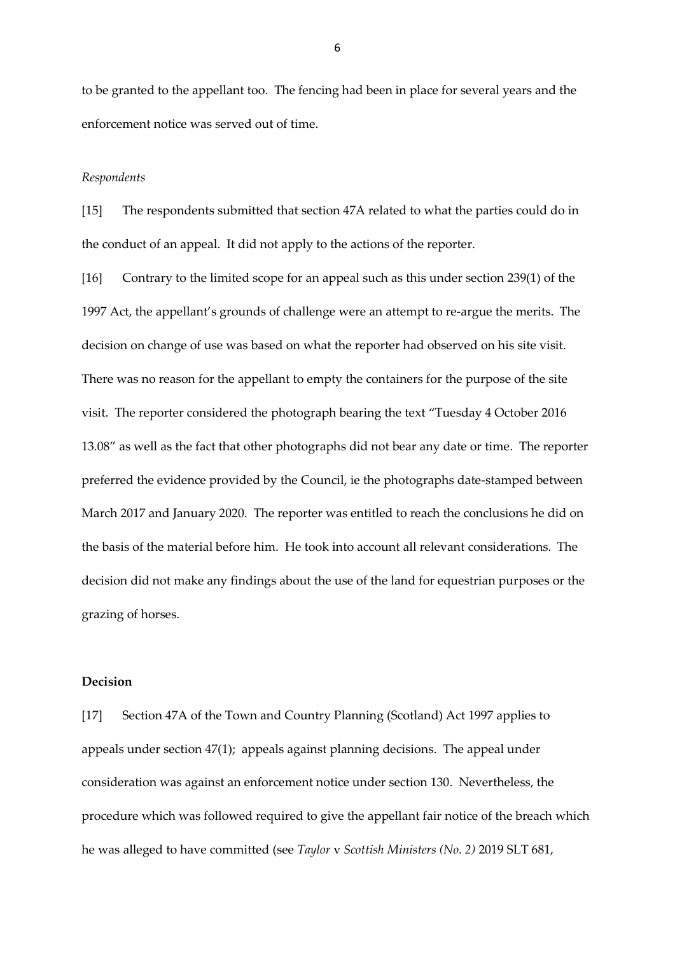to be granted to the appellant too. The fencing had been in place for several years and the enforcement notice was served out of time.

#### *Respondents*

[15] The respondents submitted that section 47A related to what the parties could do in the conduct of an appeal. It did not apply to the actions of the reporter.

[16] Contrary to the limited scope for an appeal such as this under section 239(1) of the 1997 Act, the appellant's grounds of challenge were an attempt to re-argue the merits. The decision on change of use was based on what the reporter had observed on his site visit. There was no reason for the appellant to empty the containers for the purpose of the site visit. The reporter considered the photograph bearing the text "Tuesday 4 October 2016 13.08" as well as the fact that other photographs did not bear any date or time. The reporter preferred the evidence provided by the Council, ie the photographs date-stamped between March 2017 and January 2020. The reporter was entitled to reach the conclusions he did on the basis of the material before him. He took into account all relevant considerations. The decision did not make any findings about the use of the land for equestrian purposes or the grazing of horses.

### **Decision**

[17] Section 47A of the Town and Country Planning (Scotland) Act 1997 applies to appeals under section 47(1); appeals against planning decisions. The appeal under consideration was against an enforcement notice under section 130. Nevertheless, the procedure which was followed required to give the appellant fair notice of the breach which he was alleged to have committed (see *Taylor* v *Scottish Ministers (No. 2)* 2019 SLT 681,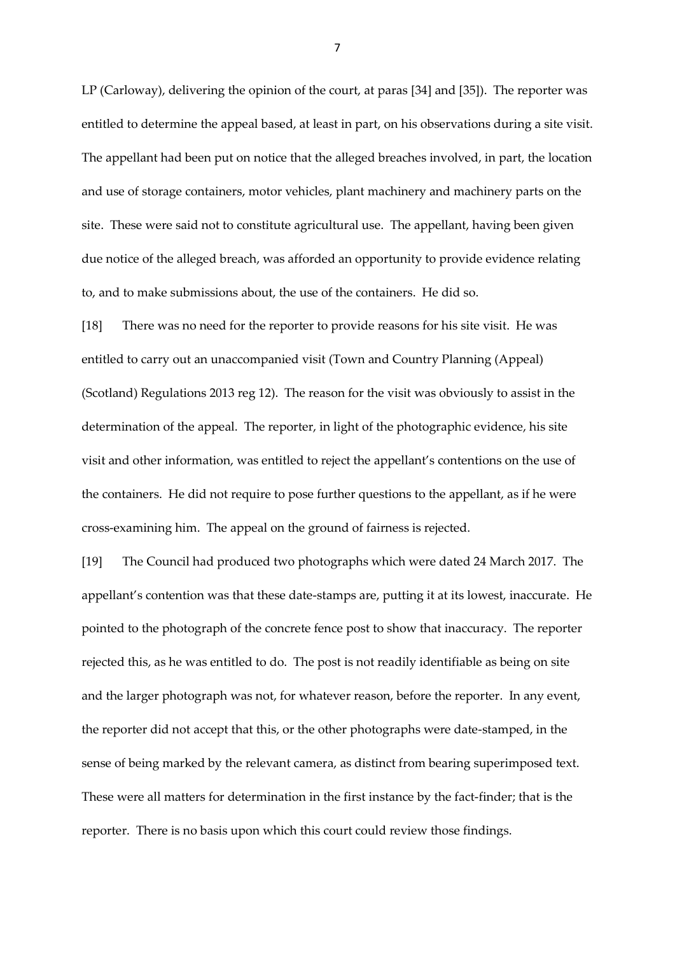LP (Carloway), delivering the opinion of the court, at paras [34] and [35]). The reporter was entitled to determine the appeal based, at least in part, on his observations during a site visit. The appellant had been put on notice that the alleged breaches involved, in part, the location and use of storage containers, motor vehicles, plant machinery and machinery parts on the site. These were said not to constitute agricultural use. The appellant, having been given due notice of the alleged breach, was afforded an opportunity to provide evidence relating to, and to make submissions about, the use of the containers. He did so.

[18] There was no need for the reporter to provide reasons for his site visit. He was entitled to carry out an unaccompanied visit (Town and Country Planning (Appeal) (Scotland) Regulations 2013 reg 12). The reason for the visit was obviously to assist in the determination of the appeal. The reporter, in light of the photographic evidence, his site visit and other information, was entitled to reject the appellant's contentions on the use of the containers. He did not require to pose further questions to the appellant, as if he were cross-examining him. The appeal on the ground of fairness is rejected.

[19] The Council had produced two photographs which were dated 24 March 2017. The appellant's contention was that these date-stamps are, putting it at its lowest, inaccurate. He pointed to the photograph of the concrete fence post to show that inaccuracy. The reporter rejected this, as he was entitled to do. The post is not readily identifiable as being on site and the larger photograph was not, for whatever reason, before the reporter. In any event, the reporter did not accept that this, or the other photographs were date-stamped, in the sense of being marked by the relevant camera, as distinct from bearing superimposed text. These were all matters for determination in the first instance by the fact-finder; that is the reporter. There is no basis upon which this court could review those findings.